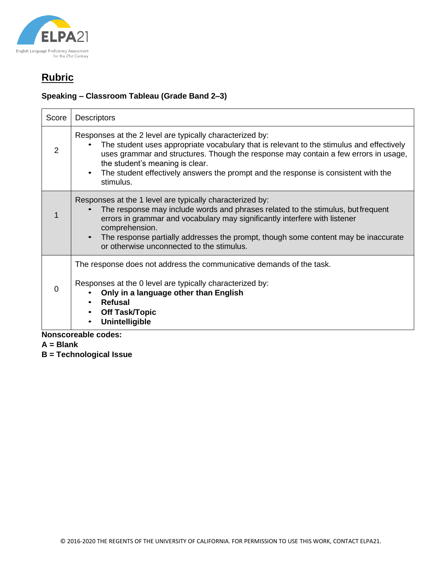

## **Speaking – Classroom Tableau (Grade Band 2–3)**

| Score                      | <b>Descriptors</b>                                                                                                                                                                                                                                                                                                                                                                             |  |
|----------------------------|------------------------------------------------------------------------------------------------------------------------------------------------------------------------------------------------------------------------------------------------------------------------------------------------------------------------------------------------------------------------------------------------|--|
| $\overline{2}$             | Responses at the 2 level are typically characterized by:<br>The student uses appropriate vocabulary that is relevant to the stimulus and effectively<br>uses grammar and structures. Though the response may contain a few errors in usage,<br>the student's meaning is clear.<br>The student effectively answers the prompt and the response is consistent with the<br>$\bullet$<br>stimulus. |  |
|                            | Responses at the 1 level are typically characterized by:<br>The response may include words and phrases related to the stimulus, but frequent<br>errors in grammar and vocabulary may significantly interfere with listener<br>comprehension.<br>The response partially addresses the prompt, though some content may be inaccurate<br>$\bullet$<br>or otherwise unconnected to the stimulus.   |  |
| $\Omega$                   | The response does not address the communicative demands of the task.<br>Responses at the 0 level are typically characterized by:<br>Only in a language other than English<br>Refusal<br><b>Off Task/Topic</b><br><b>Unintelligible</b>                                                                                                                                                         |  |
| <b>Nonscoreable codes:</b> |                                                                                                                                                                                                                                                                                                                                                                                                |  |

- **A = Blank**
- **B = Technological Issue**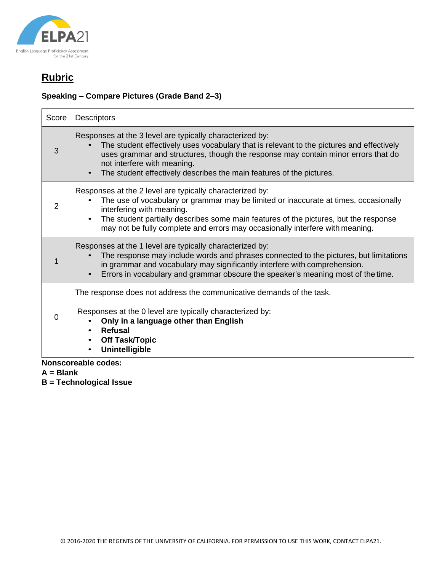

## **Speaking – Compare Pictures (Grade Band 2–3)**

| Score    | <b>Descriptors</b>                                                                                                                                                                                                                                                                                                                                     |
|----------|--------------------------------------------------------------------------------------------------------------------------------------------------------------------------------------------------------------------------------------------------------------------------------------------------------------------------------------------------------|
| 3        | Responses at the 3 level are typically characterized by:<br>The student effectively uses vocabulary that is relevant to the pictures and effectively<br>uses grammar and structures, though the response may contain minor errors that do<br>not interfere with meaning.<br>The student effectively describes the main features of the pictures.       |
| 2        | Responses at the 2 level are typically characterized by:<br>The use of vocabulary or grammar may be limited or inaccurate at times, occasionally<br>interfering with meaning.<br>The student partially describes some main features of the pictures, but the response<br>may not be fully complete and errors may occasionally interfere with meaning. |
| 1        | Responses at the 1 level are typically characterized by:<br>The response may include words and phrases connected to the pictures, but limitations<br>in grammar and vocabulary may significantly interfere with comprehension.<br>Errors in vocabulary and grammar obscure the speaker's meaning most of the time.                                     |
| $\Omega$ | The response does not address the communicative demands of the task.<br>Responses at the 0 level are typically characterized by:<br>Only in a language other than English<br><b>Refusal</b><br><b>Off Task/Topic</b><br><b>Unintelligible</b>                                                                                                          |

**Nonscoreable codes:**

**A = Blank**

**B = Technological Issue**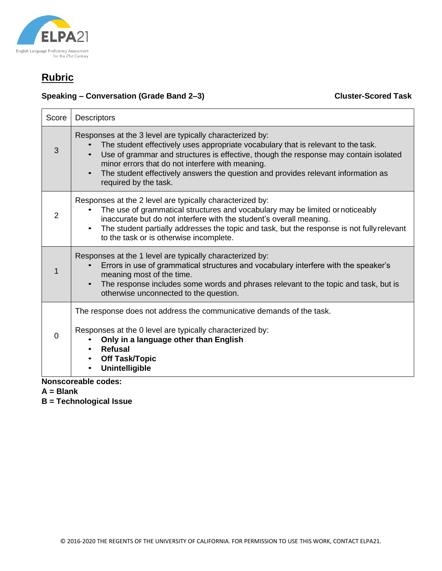

## **Speaking – Conversation (Grade Band 2–3)** Cluster-Scored Task

| Score    | <b>Descriptors</b>                                                                                                                                                                                                                                                                                                                                                                                                                |
|----------|-----------------------------------------------------------------------------------------------------------------------------------------------------------------------------------------------------------------------------------------------------------------------------------------------------------------------------------------------------------------------------------------------------------------------------------|
| 3        | Responses at the 3 level are typically characterized by:<br>The student effectively uses appropriate vocabulary that is relevant to the task.<br>Use of grammar and structures is effective, though the response may contain isolated<br>$\bullet$<br>minor errors that do not interfere with meaning.<br>The student effectively answers the question and provides relevant information as<br>$\bullet$<br>required by the task. |
| 2        | Responses at the 2 level are typically characterized by:<br>The use of grammatical structures and vocabulary may be limited or noticeably<br>inaccurate but do not interfere with the student's overall meaning.<br>The student partially addresses the topic and task, but the response is not fully relevant<br>$\bullet$<br>to the task or is otherwise incomplete.                                                            |
| 1        | Responses at the 1 level are typically characterized by:<br>Errors in use of grammatical structures and vocabulary interfere with the speaker's<br>meaning most of the time.<br>The response includes some words and phrases relevant to the topic and task, but is<br>$\bullet$<br>otherwise unconnected to the question.                                                                                                        |
| $\Omega$ | The response does not address the communicative demands of the task.<br>Responses at the 0 level are typically characterized by:<br>Only in a language other than English<br>Refusal<br><b>Off Task/Topic</b><br><b>Unintelligible</b>                                                                                                                                                                                            |

#### **Nonscoreable codes:**

**A = Blank**

**B = Technological Issue**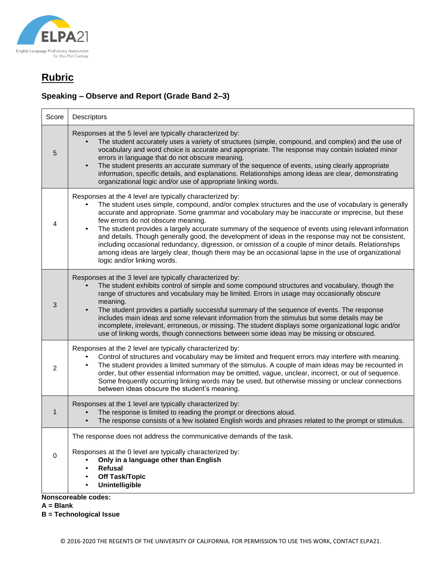

## **Speaking – Observe and Report (Grade Band 2–3)**

| Score | Descriptors                                                                                                                                                                                                                                                                                                                                                                                                                                                                                                                                                                                                                                                                                                                                                           |
|-------|-----------------------------------------------------------------------------------------------------------------------------------------------------------------------------------------------------------------------------------------------------------------------------------------------------------------------------------------------------------------------------------------------------------------------------------------------------------------------------------------------------------------------------------------------------------------------------------------------------------------------------------------------------------------------------------------------------------------------------------------------------------------------|
| 5     | Responses at the 5 level are typically characterized by:<br>The student accurately uses a variety of structures (simple, compound, and complex) and the use of<br>vocabulary and word choice is accurate and appropriate. The response may contain isolated minor<br>errors in language that do not obscure meaning.<br>The student presents an accurate summary of the sequence of events, using clearly appropriate<br>$\bullet$<br>information, specific details, and explanations. Relationships among ideas are clear, demonstrating<br>organizational logic and/or use of appropriate linking words.                                                                                                                                                            |
| 4     | Responses at the 4 level are typically characterized by:<br>The student uses simple, compound, and/or complex structures and the use of vocabulary is generally<br>accurate and appropriate. Some grammar and vocabulary may be inaccurate or imprecise, but these<br>few errors do not obscure meaning.<br>The student provides a largely accurate summary of the sequence of events using relevant information<br>and details. Though generally good, the development of ideas in the response may not be consistent,<br>including occasional redundancy, digression, or omission of a couple of minor details. Relationships<br>among ideas are largely clear, though there may be an occasional lapse in the use of organizational<br>logic and/or linking words. |
| 3     | Responses at the 3 level are typically characterized by:<br>The student exhibits control of simple and some compound structures and vocabulary, though the<br>range of structures and vocabulary may be limited. Errors in usage may occasionally obscure<br>meaning.<br>The student provides a partially successful summary of the sequence of events. The response<br>includes main ideas and some relevant information from the stimulus but some details may be<br>incomplete, irrelevant, erroneous, or missing. The student displays some organizational logic and/or<br>use of linking words, though connections between some ideas may be missing or obscured.                                                                                                |
| 2     | Responses at the 2 level are typically characterized by:<br>Control of structures and vocabulary may be limited and frequent errors may interfere with meaning.<br>The student provides a limited summary of the stimulus. A couple of main ideas may be recounted in<br>order, but other essential information may be omitted, vague, unclear, incorrect, or out of sequence.<br>Some frequently occurring linking words may be used, but otherwise missing or unclear connections<br>between ideas obscure the student's meaning.                                                                                                                                                                                                                                   |
| 1     | Responses at the 1 level are typically characterized by:<br>The response is limited to reading the prompt or directions aloud.<br>The response consists of a few isolated English words and phrases related to the prompt or stimulus.                                                                                                                                                                                                                                                                                                                                                                                                                                                                                                                                |
| 0     | The response does not address the communicative demands of the task.<br>Responses at the 0 level are typically characterized by:<br>Only in a language other than English<br><b>Refusal</b><br><b>Off Task/Topic</b><br><b>Unintelligible</b>                                                                                                                                                                                                                                                                                                                                                                                                                                                                                                                         |
|       | Nonscoreable codes:                                                                                                                                                                                                                                                                                                                                                                                                                                                                                                                                                                                                                                                                                                                                                   |

**A = Blank**

**B = Technological Issue**